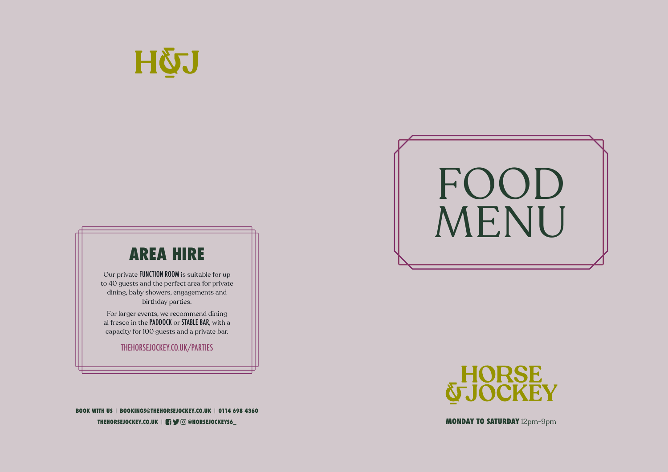# **AREA HIRE**

Our private FUNCTION ROOM is suitable for up to 40 guests and the perfect area for private dining, baby showers, engagements and birthday parties.

For larger events, we recommend dining al fresco in the PADDOCK or STABLE BAR, with a capacity for 100 guests and a private bar.

THEHORSEJOCKEY.CO.UK/PARTIES

**HORSE<br>TJOCKEY** 

**THEHORSEJOCKEY.CO.UK** | **@HORSEJOCKEYS6\_ BOOK WITH US** | **BOOKINGS@THEHORSEJOCKEY.CO.UK** | **0114 698 4360**





**MONDAY TO SATURDAY** 12pm-9pm